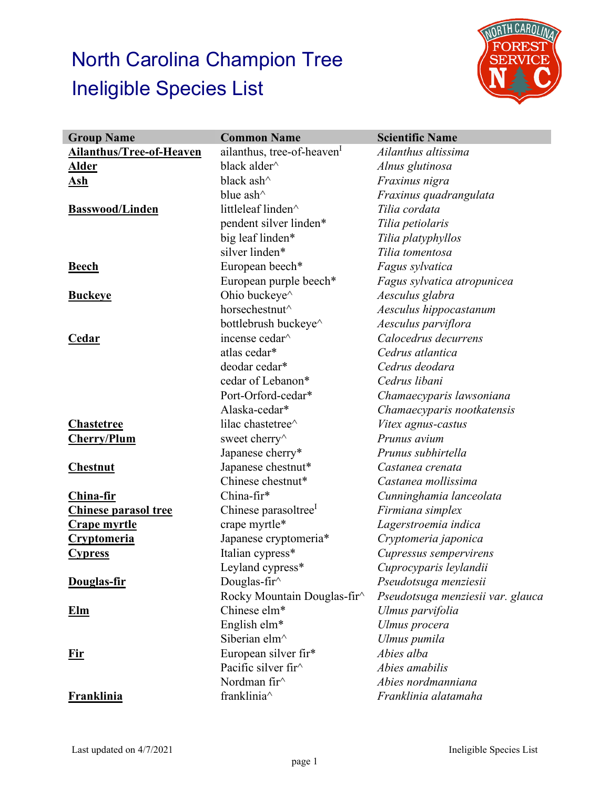## North Carolina Champion Tree Ineligible Species List



| <b>Group Name</b>               | <b>Common Name</b>                                | <b>Scientific Name</b>            |
|---------------------------------|---------------------------------------------------|-----------------------------------|
| <b>Ailanthus/Tree-of-Heaven</b> | ailanthus, tree-of-heaven                         | Ailanthus altissima               |
| <u>Alder</u>                    | black alder <sup><math>\land</math></sup>         | Alnus glutinosa                   |
| <u>Ash</u>                      | black ash^                                        | Fraxinus nigra                    |
|                                 | blue ash $\wedge$                                 | Fraxinus quadrangulata            |
| <b>Basswood/Linden</b>          | littleleaf linden^                                | Tilia cordata                     |
|                                 | pendent silver linden*                            | Tilia petiolaris                  |
|                                 | big leaf linden*                                  | Tilia platyphyllos                |
|                                 | silver linden*                                    | Tilia tomentosa                   |
| <b>Beech</b>                    | European beech*                                   | Fagus sylvatica                   |
|                                 | European purple beech*                            | Fagus sylvatica atropunicea       |
| <b>Buckeye</b>                  | Ohio buckeye^                                     | Aesculus glabra                   |
|                                 | horsechestnut^                                    | Aesculus hippocastanum            |
|                                 | bottlebrush buckeye^                              | Aesculus parviflora               |
| <b>Cedar</b>                    | incense cedar <sup>^</sup>                        | Calocedrus decurrens              |
|                                 | atlas cedar*                                      | Cedrus atlantica                  |
|                                 | deodar cedar*                                     | Cedrus deodara                    |
|                                 | cedar of Lebanon*                                 | Cedrus libani                     |
|                                 | Port-Orford-cedar*                                | Chamaecyparis lawsoniana          |
|                                 | Alaska-cedar*                                     | Chamaecyparis nootkatensis        |
| <b>Chastetree</b>               | lilac chastetree^                                 | Vitex agnus-castus                |
| <b>Cherry/Plum</b>              | sweet cherry <sup><math>\wedge</math></sup>       | Prunus avium                      |
|                                 | Japanese cherry*                                  | Prunus subhirtella                |
| <b>Chestnut</b>                 | Japanese chestnut*                                | Castanea crenata                  |
|                                 | Chinese chestnut*                                 | Castanea mollissima               |
| <b>China-fir</b>                | China-fir*                                        | Cunninghamia lanceolata           |
| <b>Chinese parasol tree</b>     | Chinese parasoltree <sup>1</sup>                  | Firmiana simplex                  |
| <u>Crape myrtle</u>             | crape myrtle*                                     | Lagerstroemia indica              |
| <u>Cryptomeria</u>              | Japanese cryptomeria*                             | Cryptomeria japonica              |
| <b>Cypress</b>                  | Italian cypress*                                  | Cupressus sempervirens            |
|                                 | Leyland cypress*                                  | Cuprocyparis leylandii            |
| Douglas-fir                     | Douglas-fir $\land$                               | Pseudotsuga menziesii             |
|                                 | Rocky Mountain Douglas-fir^                       | Pseudotsuga menziesii var. glauca |
| <u>Elm</u>                      | Chinese elm*                                      | Ulmus parvifolia                  |
|                                 | English elm*                                      | Ulmus procera                     |
|                                 | Siberian elm^                                     | Ulmus pumila                      |
| <u>Fir</u>                      | European silver fir*                              | Abies alba                        |
|                                 | Pacific silver fir <sup><math>\wedge</math></sup> | Abies amabilis                    |
|                                 | Nordman fir <sup><math>\wedge</math></sup>        | Abies nordmanniana                |
| <b>Franklinia</b>               | franklinia^                                       | Franklinia alatamaha              |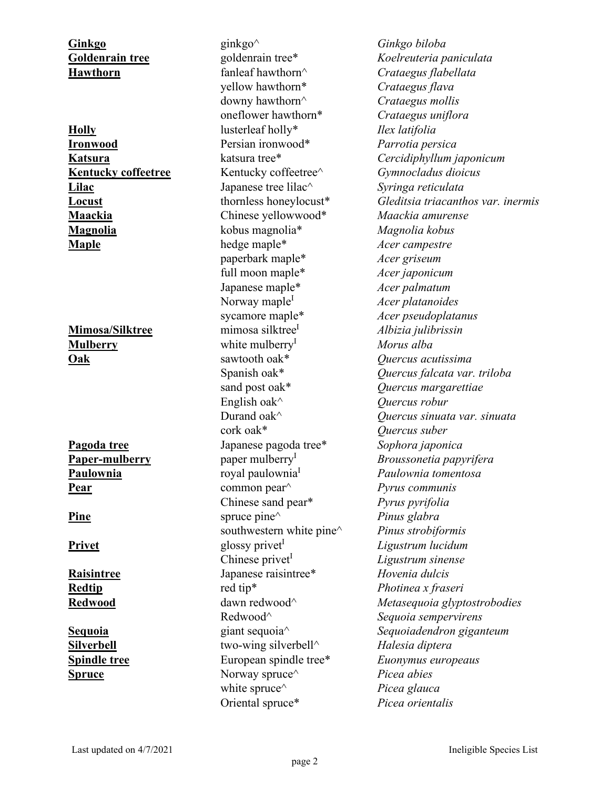## **Ginkgo** ginkgo^ *Ginkgo biloba*

**Goldenrain tree** goldenrain tree\* *Koelreuteria paniculata* **Hawthorn** fanleaf hawthorn^ *Crataegus flabellata* yellow hawthorn\* *Crataegus flava* downy hawthorn^ *Crataegus mollis* oneflower hawthorn\* *Crataegus uniflora* **Holly** lusterleaf holly\* *Ilex latifolia* **Ironwood** Persian ironwood\* *Parrotia persica* **Kentucky coffeetree** Kentucky coffeetree^ *Gymnocladus dioicus* **Lilac** Japanese tree lilac^ *Syringa reticulata* **Maackia** Chinese yellowwood\* *Maackia amurense* **Magnolia** kobus magnolia\* *Magnolia kobus* **Maple** hedge maple\* *Acer campestre* paperbark maple\* *Acer griseum* full moon maple\* *Acer japonicum* Japanese maple\* *Acer palmatum* Norway maple<sup>1</sup> *Acer platanoides* sycamore maple\* *Acer pseudoplatanus* **Mimosa/Silktree** mimosa silktree<sup>I</sup> *Albizia julibrissin* **Mulberry** white mulberry<sup>I</sup> *Morus alba* **Oak** sawtooth oak\* *Quercus acutissima* sand post oak\* *Quercus margarettiae* English oak^ *Quercus robur* cork oak\* *Quercus suber* **Pagoda tree** Japanese pagoda tree\* *Sophora japonica* **Paulownia** *Paulownia Paulownia Paulownia tomentosa* **Pear** common pear^ *Pyrus communis* Chinese sand pear\* *Pyrus pyrifolia* **Pine** spruce pine<sup> $\wedge$ </sup> *Pinus glabra* southwestern white pine^ *Pinus strobiformis* **Privet** and **privet** glossy privet *Ligustrum lucidum* Chinese privet<sup>I</sup> *Ligustrum sinense* **Raisintree** Japanese raisintree\* *Hovenia dulcis* **Redtip** red tip<sup>\*</sup> *red tip<sup>\*</sup> <i>Photinea x fraseri* Redwood^ *Sequoia sempervirens* **Silverbell** two-wing silverbell^ *Halesia diptera* **Spindle tree** European spindle tree\* *Euonymus europeaus* Spruce Norway spruce<sup> $\land$ </sup> *Picea abies* white spruce<sup> $\wedge$ </sup> *Picea glauca* Oriental spruce\* *Picea orientalis*

**Katsura** katsura tree\* *Cercidiphyllum japonicum* **Locust** thornless honeylocust\* *Gleditsia triacanthos var. inermis* Spanish oak\* *Quercus falcata var. triloba* Durand oak^ *Quercus sinuata var. sinuata* **Paper-mulberry** paper mulberry<sup>I</sup> *Broussonetia papyrifera* **Redwood** dawn redwood^ *Metasequoia glyptostrobodies* **Sequoia** giant sequoia^ *Sequoiadendron giganteum*